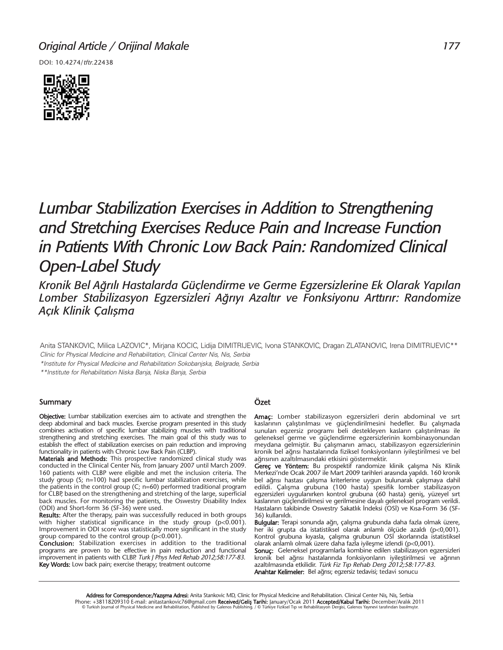DOI: 10.4274/tftr.22438



# *Lumbar Stabilization Exercises in Addition to Strengthening and Stretching Exercises Reduce Pain and Increase Function in Patients With Chronic Low Back Pain: Randomized Clinical Open-Label Study*

*Kronik Bel Ağrılı Hastalarda Güçlendirme ve Germe Egzersizlerine Ek Olarak Yapılan Lomber Stabilizasyon Egzersizleri Ağrıyı Azaltır ve Fonksiyonu Arttırır: Randomize Açık Klinik Çalışma*

Anita STANKOVIC, Milica LAZOVIC\*, Mirjana KOCIC, Lidija DIMITRIJEVIC, Ivona STANKOVIC, Dragan ZLATANOVIC, Irena DIMITRIJEVIC\*\* Clinic for Physical Medicine and Rehabilitation, Clinical Center Nis, Nis, Serbia \*Institute for Physical Medicine and Rehabilitation Sokobanjska, Belgrade, Serbia

\*\*Institute for Rehabilitation Niska Banja, Niska Banja, Serbia

#### Summary

Objective: Lumbar stabilization exercises aim to activate and strengthen the deep abdominal and back muscles. Exercise program presented in this study combines activation of specific lumbar stabilizing muscles with traditional strengthening and stretching exercises. The main goal of this study was to establish the effect of stabilization exercises on pain reduction and improving functionality in patients with Chronic Low Back Pain (CLBP).

Materials and Methods: This prospective randomized clinical study was conducted in the Clinical Center Nis, from January 2007 until March 2009. 160 patients with CLBP were eligible and met the inclusion criteria. The study group (S; n=100) had specific lumbar stabilization exercises, while the patients in the control group (C; n=60) performed traditional program for CLBP, based on the strengthening and stretching of the large, superficial back muscles. For monitoring the patients, the Oswestry Disability Index (ODI) and Short-form 36 (SF-36) were used.

Results: After the therapy, pain was successfully reduced in both groups with higher statistical significance in the study group ( $p < 0.001$ ). Improvement in ODI score was statistically more significant in the study group compared to the control group (p<0.001).

Conclusion: Stabilization exercises in addition to the traditional programs are proven to be effective in pain reduction and functional improvement in patients with CLBP. Turk J Phys Med Rehab 2012;58:177-83. Key Words: Low back pain; exercise therapy; treatment outcome

#### Özet

Amaç: Lomber stabilizasyon egzersizleri derin abdominal ve sırt kaslarının çalıştırılması ve güçlendirilmesini hedefler. Bu çalışmada sunulan egzersiz programı beli destekleyen kasların çalıştırılması ile geleneksel germe ve güçlendirme egzersizlerinin kombinasyonundan meydana gelmiştir. Bu çalışmanın amacı, stabilizasyon egzersizlerinin kronik bel ağrısı hastalarında fiziksel fonksiyonların iyileştirilmesi ve bel ağrısının azaltılmasındaki etkisini göstermektir.

Gereç ve Yöntem: Bu prospektif randomize klinik çalışma Nis Klinik Merkezi'nde Ocak 2007 ile Mart 2009 tarihleri arasında yapıldı. 160 kronik bel ağrısı hastası çalışma kriterlerine uygun bulunarak çalışmaya dahil edildi. Çalışma grubuna (100 hasta) spesifik lomber stabilizasyon egzersizleri uygulanırken kontrol grubuna (60 hasta) geniş, yüzeyel sırt kaslarının güçlendirilmesi ve gerilmesine dayalı geleneksel program verildi. Hastaların takibinde Oswestry Sakatlık İndeksi (OSİ) ve Kısa-Form 36 (SF-36) kullanıldı.

**Bulgular:** Terapi sonunda ağrı, çalışma grubunda daha fazla olmak üzere, her iki grupta da istatistiksel olarak anlamlı ölçüde azaldı (p<0,001). Kontrol grubuna kıyasla, çalışma grubunun OSİ skorlarında istatistiksel olarak anlamlı olmak üzere daha fazla iyileşme izlendi (p<0,001).

Sonuç: Geleneksel programlarla kombine edilen stabilizasyon egzersizleri kronik bel ağrısı hastalarında fonksiyonların iyileştirilmesi ve ağrının azaltılmasında etkilidir. Türk Fiz Tıp Rehab Derg 2012;58:177-83. Anahtar Kelimeler: Bel ağrısı; egzersiz tedavisi; tedavi sonucu

Address for Correspondence:/Yazışma Adresi: Anita Stankovic MD, Clinic for Physical Medicine and Rehabilitation. Clinical Center Nis, Nis, Serbia Phone: +38118209310 E-mail: anitastankovic76@gmail.com Received/Gelis Tarihi: January/Ocak 2011 Accepted/Kabul Tarihi: December/Aralık 2011 © Turkish Journal of Physical Medicine and Rehabilitation, Published by Galenos Pu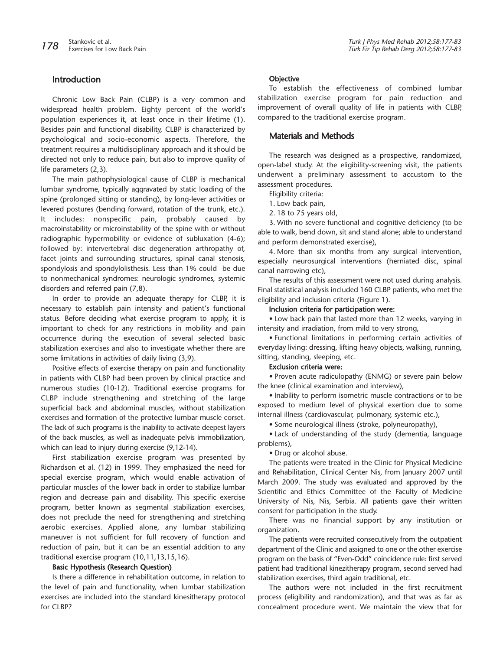# Introduction

Chronic Low Back Pain (CLBP) is a very common and widespread health problem. Eighty percent of the world's population experiences it, at least once in their lifetime (1). Besides pain and functional disability, CLBP is characterized by psychological and socio-economic aspects. Therefore, the treatment requires a multidisciplinary approach and it should be directed not only to reduce pain, but also to improve quality of life parameters (2,3).

The main pathophysiological cause of CLBP is mechanical lumbar syndrome, typically aggravated by static loading of the spine (prolonged sitting or standing), by long-lever activities or levered postures (bending forward, rotation of the trunk, etc.). It includes: nonspecific pain, probably caused by macroinstability or microinstability of the spine with or without radiographic hypermobility or evidence of subluxation (4-6); followed by: intervertebral disc degeneration arthropathy of, facet joints and surrounding structures, spinal canal stenosis, spondylosis and spondylolisthesis. Less than 1% could be due to nonmechanical syndromes: neurologic syndromes, systemic disorders and referred pain (7,8).

In order to provide an adequate therapy for CLBP, it is necessary to establish pain intensity and patient's functional status. Before deciding what exercise program to apply, it is important to check for any restrictions in mobility and pain occurrence during the execution of several selected basic stabilization exercises and also to investigate whether there are some limitations in activities of daily living (3,9).

Positive effects of exercise therapy on pain and functionality in patients with CLBP had been proven by clinical practice and numerous studies (10-12). Traditional exercise programs for CLBP include strengthening and stretching of the large superficial back and abdominal muscles, without stabilization exercises and formation of the protective lumbar muscle corset. The lack of such programs is the inability to activate deepest layers of the back muscles, as well as inadequate pelvis immobilization, which can lead to injury during exercise (9,12-14).

First stabilization exercise program was presented by Richardson et al. (12) in 1999. They emphasized the need for special exercise program, which would enable activation of particular muscles of the lower back in order to stabilize lumbar region and decrease pain and disability. This specific exercise program, better known as segmental stabilization exercises, does not preclude the need for strengthening and stretching aerobic exercises. Applied alone, any lumbar stabilizing maneuver is not sufficient for full recovery of function and reduction of pain, but it can be an essential addition to any traditional exercise program (10,11,13,15,16).

#### Basic Hypothesis (Research Question)

Is there a difference in rehabilitation outcome, in relation to the level of pain and functionality, when lumbar stabilization exercises are included into the standard kinesitherapy protocol for CLBP?

#### **Objective**

To establish the effectiveness of combined lumbar stabilization exercise program for pain reduction and improvement of overall quality of life in patients with CLBP, compared to the traditional exercise program.

# Materials and Methods

The research was designed as a prospective, randomized, open-label study. At the eligibility-screening visit, the patients underwent a preliminary assessment to accustom to the assessment procedures.

Eligibility criteria:

- 1. Low back pain,
- 2. 18 to 75 years old,

3. With no severe functional and cognitive deficiency (to be able to walk, bend down, sit and stand alone; able to understand and perform demonstrated exercise),

4. More than six months from any surgical intervention, especially neurosurgical interventions (herniated disc, spinal canal narrowing etc),

The results of this assessment were not used during analysis. Final statistical analysis included 160 CLBP patients, who met the eligibility and inclusion criteria (Figure 1).

#### Inclusion criteria for participation were:

• Low back pain that lasted more than 12 weeks, varying in intensity and irradiation, from mild to very strong,

• Functional limitations in performing certain activities of everyday living: dressing, lifting heavy objects, walking, running, sitting, standing, sleeping, etc.

#### Exclusion criteria were:

• Proven acute radiculopathy (ENMG) or severe pain below the knee (clinical examination and interview),

• Inability to perform isometric muscle contractions or to be exposed to medium level of physical exertion due to some internal illness (cardiovascular, pulmonary, systemic etc.),

• Some neurological illness (stroke, polyneuropathy),

• Lack of understanding of the study (dementia, language problems),

• Drug or alcohol abuse.

The patients were treated in the Clinic for Physical Medicine and Rehabilitation, Clinical Center Nis, from January 2007 until March 2009. The study was evaluated and approved by the Scientific and Ethics Committee of the Faculty of Medicine University of Nis, Nis, Serbia. All patients gave their written consent for participation in the study.

There was no financial support by any institution or organization.

The patients were recruited consecutively from the outpatient department of the Clinic and assigned to one or the other exercise program on the basis of "Even-Odd" coincidence rule: first served patient had traditional kinezitherapy program, second served had stabilization exercises, third again traditional, etc.

The authors were not included in the first recruitment process (eligibility and randomization), and that was as far as concealment procedure went. We maintain the view that for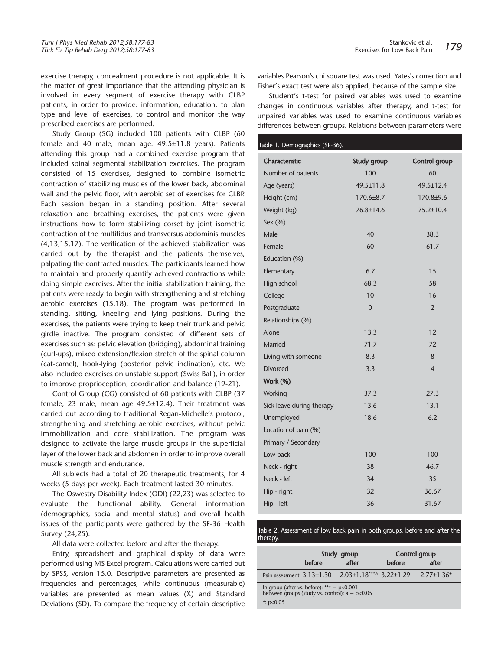exercise therapy, concealment procedure is not applicable. It is the matter of great importance that the attending physician is involved in every segment of exercise therapy with CLBP patients, in order to provide: information, education, to plan type and level of exercises, to control and monitor the way prescribed exercises are performed.

Study Group (SG) included 100 patients with CLBP (60 female and 40 male, mean age: 49.5±11.8 years). Patients attending this group had a combined exercise program that included spinal segmental stabilization exercises. The program consisted of 15 exercises, designed to combine isometric contraction of stabilizing muscles of the lower back, abdominal wall and the pelvic floor, with aerobic set of exercises for CLBP. Each session began in a standing position. After several relaxation and breathing exercises, the patients were given instructions how to form stabilizing corset by joint isometric contraction of the multifidus and transversus abdominis muscles (4,13,15,17). The verification of the achieved stabilization was carried out by the therapist and the patients themselves, palpating the contracted muscles. The participants learned how to maintain and properly quantify achieved contractions while doing simple exercises. After the initial stabilization training, the patients were ready to begin with strengthening and stretching aerobic exercises (15,18). The program was performed in standing, sitting, kneeling and lying positions. During the exercises, the patients were trying to keep their trunk and pelvic girdle inactive. The program consisted of different sets of exercises such as: pelvic elevation (bridging), abdominal training (curl-ups), mixed extension/flexion stretch of the spinal column (cat-camel), hook-lying (posterior pelvic inclination), etc. We also included exercises on unstable support (Swiss Ball), in order to improve proprioception, coordination and balance (19-21).

Control Group (CG) consisted of 60 patients with CLBP (37 female, 23 male; mean age 49.5±12.4). Their treatment was carried out according to traditional Regan-Michelle's protocol, strengthening and stretching aerobic exercises, without pelvic immobilization and core stabilization. The program was designed to activate the large muscle groups in the superficial layer of the lower back and abdomen in order to improve overall muscle strength and endurance.

All subjects had a total of 20 therapeutic treatments, for 4 weeks (5 days per week). Each treatment lasted 30 minutes.

The Oswestry Disability Index (ODI) (22,23) was selected to evaluate the functional ability. General information (demographics, social and mental status) and overall health issues of the participants were gathered by the SF-36 Health Survey (24,25).

All data were collected before and after the therapy.

Entry, spreadsheet and graphical display of data were performed using MS Excel program. Calculations were carried out by SPSS, version 15.0. Descriptive parameters are presented as frequencies and percentages, while continuous (measurable) variables are presented as mean values (X) and Standard Deviations (SD). To compare the frequency of certain descriptive

variables Pearson's chi square test was used. Yates's correction and Fisher's exact test were also applied, because of the sample size.

Student's t-test for paired variables was used to examine changes in continuous variables after therapy, and t-test for unpaired variables was used to examine continuous variables differences between groups. Relations between parameters were

# Table 1. Demographics (SF-36).

| Characteristic            | Study group    | Control group  |  |
|---------------------------|----------------|----------------|--|
| Number of patients        | 100            | 60             |  |
| Age (years)               | 49.5±11.8      | 49.5±12.4      |  |
| Height (cm)               | 170.6±8.7      | 170.8±9.6      |  |
| Weight (kg)               | 76.8±14.6      | 75.2±10.4      |  |
| Sex (%)                   |                |                |  |
| Male                      | 40             | 38.3           |  |
| Female                    | 60             | 61.7           |  |
| Education (%)             |                |                |  |
| Elementary                | 6.7            | 15             |  |
| High school               | 68.3           | 58             |  |
| College                   | 10             | 16             |  |
| Postgraduate              | $\overline{0}$ | $\overline{2}$ |  |
| Relationships (%)         |                |                |  |
| Alone                     | 13.3           | 12             |  |
| <b>Married</b>            | 71.7           | 72             |  |
| Living with someone       | 8.3            | 8              |  |
| <b>Divorced</b>           | 3.3            | $\overline{4}$ |  |
| Work (%)                  |                |                |  |
| Working                   | 37.3           | 27.3           |  |
| Sick leave during therapy | 13.6           | 13.1           |  |
| Unemployed                | 18.6           | 6.2            |  |
| Location of pain (%)      |                |                |  |
| Primary / Secondary       |                |                |  |
| Low back                  | 100            | 100            |  |
| Neck - right              | 38             | 46.7           |  |
| Neck - left               | 34             | 35             |  |
| Hip - right               | 32             | 36.67          |  |
| Hip - left                | 36             | 31.67          |  |

Table 2. Assessment of low back pain in both groups, before and after the therapy.

|                                                                                                      | Study group   |                                                   | Control group |                  |
|------------------------------------------------------------------------------------------------------|---------------|---------------------------------------------------|---------------|------------------|
|                                                                                                      | <b>before</b> | after                                             | before        | after            |
|                                                                                                      |               | Pain assessment 3.13±1.30 2.03±1.18***a 3.22±1.29 |               | $2.77 \pm 1.36*$ |
| In group (after vs. before): $*** - p < 0.001$<br>Between groups (study vs. control): $a - p < 0.05$ |               |                                                   |               |                  |
| *: $p<0.05$                                                                                          |               |                                                   |               |                  |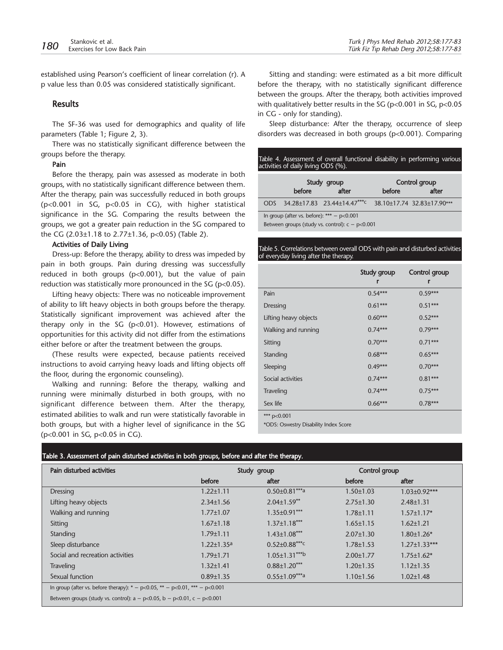established using Pearson's coefficient of linear correlation (r). A p value less than 0.05 was considered statistically significant.

#### **Results**

The SF-36 was used for demographics and quality of life parameters (Table 1; Figure 2, 3).

There was no statistically significant difference between the groups before the therapy.

#### Pain

Before the therapy, pain was assessed as moderate in both groups, with no statistically significant difference between them. After the therapy, pain was successfully reduced in both groups (p<0.001 in SG, p<0.05 in CG), with higher statistical significance in the SG. Comparing the results between the groups, we got a greater pain reduction in the SG compared to the CG (2.03±1.18 to 2.77±1.36, p<0.05) (Table 2).

#### Activities of Daily Living

Dress-up: Before the therapy, ability to dress was impeded by pain in both groups. Pain during dressing was successfully reduced in both groups (p<0.001), but the value of pain reduction was statistically more pronounced in the SG (p<0.05).

Lifting heavy objects: There was no noticeable improvement of ability to lift heavy objects in both groups before the therapy. Statistically significant improvement was achieved after the therapy only in the SG (p<0.01). However, estimations of opportunities for this activity did not differ from the estimations either before or after the treatment between the groups.

(These results were expected, because patients received instructions to avoid carrying heavy loads and lifting objects off the floor, during the ergonomic counseling).

Walking and running: Before the therapy, walking and running were minimally disturbed in both groups, with no significant difference between them. After the therapy, estimated abilities to walk and run were statistically favorable in both groups, but with a higher level of significance in the SG (p<0.001 in SG, p<0.05 in CG).

Sitting and standing: were estimated as a bit more difficult before the therapy, with no statistically significant difference between the groups. After the therapy, both activities improved with qualitatively better results in the SG (p<0.001 in SG, p<0.05 in CG - only for standing).

Sleep disturbance: After the therapy, occurrence of sleep disorders was decreased in both groups (p<0.001). Comparing

# Table 4. Assessment of overall functional disability in performing various activities of daily living ODS (%).

|                                                     | Study group |                                                    | Control group |                            |  |
|-----------------------------------------------------|-------------|----------------------------------------------------|---------------|----------------------------|--|
|                                                     | before      | after                                              | before        | after                      |  |
| ODS.                                                |             | $34.28 \pm 17.83$ $23.44 \pm 14.47$ <sup>***</sup> |               | 38.10±17.74 32.83±17.90*** |  |
| In group (after vs. before): *** $-$ p<0.001        |             |                                                    |               |                            |  |
| Between groups (study vs. control): $c - p < 0.001$ |             |                                                    |               |                            |  |

#### Table 5. Correlations between overall ODS with pain and disturbed activities of everyday living after the therapy.

|                       | Study group<br>r | Control group<br>r |
|-----------------------|------------------|--------------------|
| Pain                  | $0.54***$        | $0.59***$          |
| <b>Dressing</b>       | $0.61***$        | $0.51***$          |
| Lifting heavy objects | $0.60***$        | $0.52***$          |
| Walking and running   | $0.74***$        | $0.79***$          |
| Sitting               | $0.70***$        | $0.71***$          |
| Standing              | $0.68***$        | $0.65***$          |
| Sleeping              | $0.49***$        | $0.70***$          |
| Social activities     | $0.74***$        | $0.81***$          |
| <b>Traveling</b>      | $0.74***$        | $0.75***$          |
| Sex life              | $0.66***$        | $0.78***$          |
| *** $p<0.001$         |                  |                    |

\*ODS: Oswestry Disability Index Score

## Table 3. Assessment of pain disturbed activities in both groups, before and after the therapy.

| Pain disturbed activities                                                                 | Study group                  |                      | Control group   |                     |
|-------------------------------------------------------------------------------------------|------------------------------|----------------------|-----------------|---------------------|
|                                                                                           | before                       | after                | before          | after               |
| <b>Dressing</b>                                                                           | $1.22 \pm 1.11$              | $0.50 \pm 0.81***$ a | $1.50 \pm 1.03$ | $1.03 \pm 0.92$ *** |
| Lifting heavy objects                                                                     | $2.34 \pm 1.56$              | $2.04 \pm 1.59$ **   | $2.75 \pm 1.30$ | $2.48 \pm 1.31$     |
| Walking and running                                                                       | $1.77 \pm 1.07$              | $1.35 \pm 0.91$ ***  | $1.78 \pm 1.11$ | $1.57 \pm 1.17$ *   |
| Sitting                                                                                   | $1.67 \pm 1.18$              | $1.37 \pm 1.18***$   | $1.65 \pm 1.15$ | $1.62 \pm 1.21$     |
| Standing                                                                                  | $1.79 \pm 1.11$              | $1.43 \pm 1.08***$   | $2.07 \pm 1.30$ | $1.80 \pm 1.26*$    |
| Sleep disturbance                                                                         | $1.22 \pm 1.35$ <sup>a</sup> | $0.52 \pm 0.88$ ***C | $1.78 \pm 1.53$ | $1.27 \pm 1.33$ *** |
| Social and recreation activities                                                          | $1.79 \pm 1.71$              | $1.05 \pm 1.31***$   | $2.00 \pm 1.77$ | $1.75 \pm 1.62*$    |
| <b>Traveling</b>                                                                          | $1.32 \pm 1.41$              | $0.88 \pm 1.20$ ***  | $1.20 \pm 1.35$ | $1.12 \pm 1.35$     |
| Sexual function                                                                           | $0.89 \pm 1.35$              | $0.55 \pm 1.09***$   | $1.10 \pm 1.56$ | $1.02 \pm 1.48$     |
| In group (after vs. before therapy): $* - p < 0.05$ , $** - p < 0.01$ , $*** - p < 0.001$ |                              |                      |                 |                     |
| Between groups (study vs. control): $a - p < 0.05$ , $b - p < 0.01$ , $c - p < 0.001$     |                              |                      |                 |                     |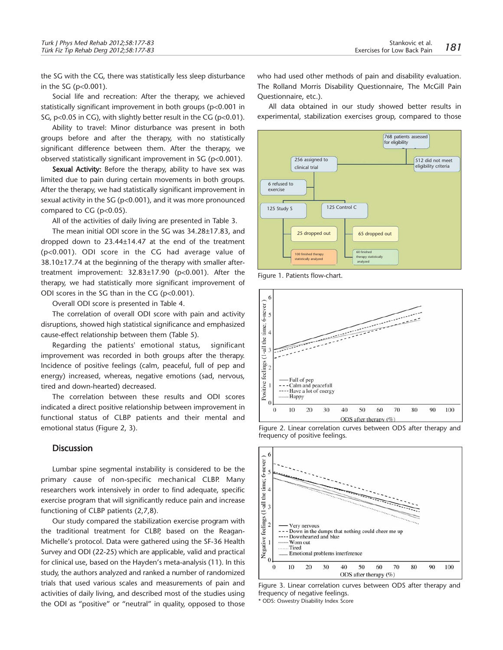the SG with the CG, there was statistically less sleep disturbance in the SG ( $p<0.001$ ).

Social life and recreation: After the therapy, we achieved statistically significant improvement in both groups (p<0.001 in SG, p<0.05 in CG), with slightly better result in the CG (p<0.01).

Ability to travel: Minor disturbance was present in both groups before and after the therapy, with no statistically significant difference between them. After the therapy, we observed statistically significant improvement in SG (p<0.001).

Sexual Activity: Before the therapy, ability to have sex was limited due to pain during certain movements in both groups. After the therapy, we had statistically significant improvement in sexual activity in the SG (p<0.001), and it was more pronounced compared to CG (p<0.05).

All of the activities of daily living are presented in Table 3.

The mean initial ODI score in the SG was 34.28±17.83, and dropped down to 23.44±14.47 at the end of the treatment (p<0.001). ODI score in the CG had average value of 38.10±17.74 at the beginning of the therapy with smaller aftertreatment improvement: 32.83±17.90 (p<0.001). After the therapy, we had statistically more significant improvement of ODI scores in the SG than in the CG (p<0.001).

Overall ODI score is presented in Table 4.

The correlation of overall ODI score with pain and activity disruptions, showed high statistical significance and emphasized cause-effect relationship between them (Table 5).

Regarding the patients' emotional status, significant improvement was recorded in both groups after the therapy. Incidence of positive feelings (calm, peaceful, full of pep and energy) increased, whereas, negative emotions (sad, nervous, tired and down-hearted) decreased.

The correlation between these results and ODI scores indicated a direct positive relationship between improvement in functional status of CLBP patients and their mental and emotional status (Figure 2, 3).

### **Discussion**

Lumbar spine segmental instability is considered to be the primary cause of non-specific mechanical CLBP. Many researchers work intensively in order to find adequate, specific exercise program that will significantly reduce pain and increase functioning of CLBP patients (2,7,8).

Our study compared the stabilization exercise program with the traditional treatment for CLBP, based on the Reagan-Michelle's protocol. Data were gathered using the SF-36 Health Survey and ODI (22-25) which are applicable, valid and practical for clinical use, based on the Hayden's meta-analysis (11). In this study, the authors analyzed and ranked a number of randomized trials that used various scales and measurements of pain and activities of daily living, and described most of the studies using the ODI as "positive" or "neutral" in quality, opposed to those who had used other methods of pain and disability evaluation. The Rolland Morris Disability Questionnaire, The McGill Pain Questionnaire, etc.).

All data obtained in our study showed better results in experimental, stabilization exercises group, compared to those



Figure 1. Patients flow-chart.



Figure 2. Linear correlation curves between ODS after therapy and frequency of positive feelings.



Figure 3. Linear correlation curves between ODS after therapy and frequency of negative feelings.

\* ODS: Oswestry Disability Index Score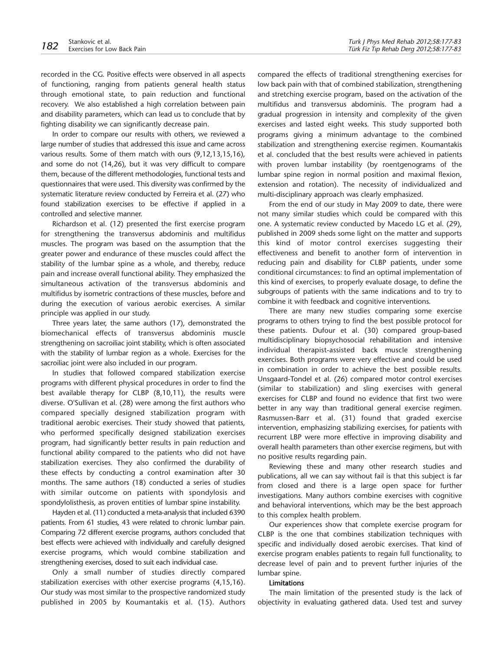recorded in the CG. Positive effects were observed in all aspects of functioning, ranging from patients general health status through emotional state, to pain reduction and functional recovery. We also established a high correlation between pain and disability parameters, which can lead us to conclude that by fighting disability we can significantly decrease pain.

In order to compare our results with others, we reviewed a large number of studies that addressed this issue and came across various results. Some of them match with ours (9,12,13,15,16), and some do not (14,26), but it was very difficult to compare them, because of the different methodologies, functional tests and questionnaires that were used. This diversity was confirmed by the systematic literature review conducted by Ferreira et al. (27) who found stabilization exercises to be effective if applied in a controlled and selective manner.

Richardson et al. (12) presented the first exercise program for strengthening the transversus abdominis and multifidus muscles. The program was based on the assumption that the greater power and endurance of these muscles could affect the stability of the lumbar spine as a whole, and thereby, reduce pain and increase overall functional ability. They emphasized the simultaneous activation of the transversus abdominis and multifidus by isometric contractions of these muscles, before and during the execution of various aerobic exercises. A similar principle was applied in our study.

Three years later, the same authors (17), demonstrated the biomechanical effects of transversus abdominis muscle strengthening on sacroiliac joint stability, which is often associated with the stability of lumbar region as a whole. Exercises for the sacroiliac joint were also included in our program.

In studies that followed compared stabilization exercise programs with different physical procedures in order to find the best available therapy for CLBP (8,10,11), the results were diverse. O'Sullivan et al. (28) were among the first authors who compared specially designed stabilization program with traditional aerobic exercises. Their study showed that patients, who performed specifically designed stabilization exercises program, had significantly better results in pain reduction and functional ability compared to the patients who did not have stabilization exercises. They also confirmed the durability of these effects by conducting a control examination after 30 months. The same authors (18) conducted a series of studies with similar outcome on patients with spondylosis and spondylolisthesis, as proven entities of lumbar spine instability.

Hayden et al. (11) conducted a meta-analysis that included 6390 patients. From 61 studies, 43 were related to chronic lumbar pain. Comparing 72 different exercise programs, authors concluded that best effects were achieved with individually and carefully designed exercise programs, which would combine stabilization and strengthening exercises, dosed to suit each individual case.

Only a small number of studies directly compared stabilization exercises with other exercise programs (4,15,16). Our study was most similar to the prospective randomized study published in 2005 by Koumantakis et al. (15). Authors compared the effects of traditional strengthening exercises for low back pain with that of combined stabilization, strengthening and stretching exercise program, based on the activation of the multifidus and transversus abdominis. The program had a gradual progression in intensity and complexity of the given exercises and lasted eight weeks. This study supported both programs giving a minimum advantage to the combined stabilization and strengthening exercise regimen. Koumantakis et al. concluded that the best results were achieved in patients with proven lumbar instability (by roentgenograms of the lumbar spine region in normal position and maximal flexion, extension and rotation). The necessity of individualized and multi-disciplinary approach was clearly emphasized.

From the end of our study in May 2009 to date, there were not many similar studies which could be compared with this one. A systematic review conducted by Macedo LG et al. (29), published in 2009 sheds some light on the matter and supports this kind of motor control exercises suggesting their effectiveness and benefit to another form of intervention in reducing pain and disability for CLBP patients, under some conditional circumstances: to find an optimal implementation of this kind of exercises, to properly evaluate dosage, to define the subgroups of patients with the same indications and to try to combine it with feedback and cognitive interventions.

There are many new studies comparing some exercise programs to others trying to find the best possible protocol for these patients. Dufour et al. (30) compared group-based multidisciplinary biopsychosocial rehabilitation and intensive individual therapist-assisted back muscle strengthening exercises. Both programs were very effective and could be used in combination in order to achieve the best possible results. Unsgaard-Tondel et al. (26) compared motor control exercises (similar to stabilization) and sling exercises with general exercises for CLBP and found no evidence that first two were better in any way than traditional general exercise regimen. Rasmussen-Barr et al. (31) found that graded exercise intervention, emphasizing stabilizing exercises, for patients with recurrent LBP were more effective in improving disability and overall health parameters than other exercise regimens, but with no positive results regarding pain.

Reviewing these and many other research studies and publications, all we can say without fail is that this subject is far from closed and there is a large open space for further investigations. Many authors combine exercises with cognitive and behavioral interventions, which may be the best approach to this complex health problem.

Our experiences show that complete exercise program for CLBP is the one that combines stabilization techniques with specific and individually dosed aerobic exercises. That kind of exercise program enables patients to regain full functionality, to decrease level of pain and to prevent further injuries of the lumbar spine.

#### Limitations

The main limitation of the presented study is the lack of objectivity in evaluating gathered data. Used test and survey